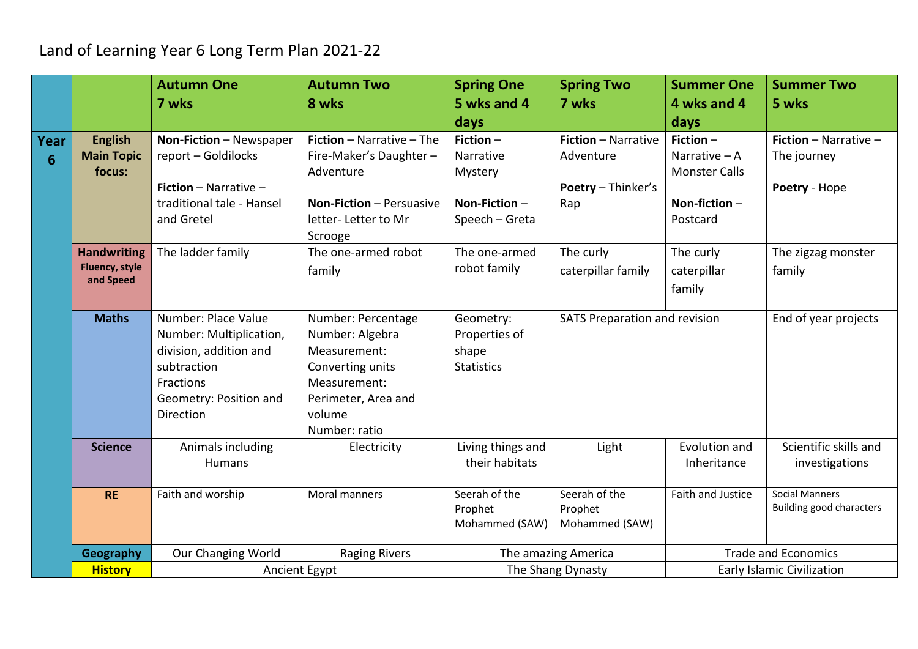## Land of Learning Year 6 Long Term Plan 2021-22

|           |                                                          | <b>Autumn One</b><br>7 wks                                                                                                                  | <b>Autumn Two</b><br>8 wks                                                                                                                  | <b>Spring One</b><br>5 wks and 4                                         | <b>Spring Two</b><br>7 wks                                                  | <b>Summer One</b><br>4 wks and 4                                                      | <b>Summer Two</b><br>5 wks                               |
|-----------|----------------------------------------------------------|---------------------------------------------------------------------------------------------------------------------------------------------|---------------------------------------------------------------------------------------------------------------------------------------------|--------------------------------------------------------------------------|-----------------------------------------------------------------------------|---------------------------------------------------------------------------------------|----------------------------------------------------------|
|           |                                                          |                                                                                                                                             |                                                                                                                                             | days                                                                     |                                                                             | days                                                                                  |                                                          |
| Year<br>6 | <b>English</b><br><b>Main Topic</b><br>focus:            | Non-Fiction - Newspaper<br>report - Goldilocks<br><b>Fiction</b> - Narrative -<br>traditional tale - Hansel<br>and Gretel                   | Fiction - Narrative - The<br>Fire-Maker's Daughter-<br>Adventure<br><b>Non-Fiction - Persuasive</b><br>letter-Letter to Mr<br>Scrooge       | Fiction $-$<br>Narrative<br>Mystery<br>Non-Fiction $-$<br>Speech - Greta | <b>Fiction - Narrative</b><br>Adventure<br><b>Poetry - Thinker's</b><br>Rap | Fiction $-$<br>Narrative $- A$<br><b>Monster Calls</b><br>Non-fiction $-$<br>Postcard | Fiction - Narrative -<br>The journey<br>Poetry - Hope    |
|           | <b>Handwriting</b><br><b>Fluency, style</b><br>and Speed | The ladder family                                                                                                                           | The one-armed robot<br>family                                                                                                               | The one-armed<br>robot family                                            | The curly<br>caterpillar family                                             | The curly<br>caterpillar<br>family                                                    | The zigzag monster<br>family                             |
|           | <b>Maths</b>                                             | Number: Place Value<br>Number: Multiplication,<br>division, addition and<br>subtraction<br>Fractions<br>Geometry: Position and<br>Direction | Number: Percentage<br>Number: Algebra<br>Measurement:<br>Converting units<br>Measurement:<br>Perimeter, Area and<br>volume<br>Number: ratio | Geometry:<br>Properties of<br>shape<br><b>Statistics</b>                 | SATS Preparation and revision                                               |                                                                                       | End of year projects                                     |
|           | <b>Science</b>                                           | Animals including<br><b>Humans</b>                                                                                                          | Electricity                                                                                                                                 | Living things and<br>their habitats                                      | Light                                                                       | Evolution and<br>Inheritance                                                          | Scientific skills and<br>investigations                  |
|           | <b>RE</b>                                                | Faith and worship                                                                                                                           | Moral manners                                                                                                                               | Seerah of the<br>Prophet<br>Mohammed (SAW)                               | Seerah of the<br>Prophet<br>Mohammed (SAW)                                  | Faith and Justice                                                                     | <b>Social Manners</b><br><b>Building good characters</b> |
|           | Geography                                                | Our Changing World                                                                                                                          | <b>Raging Rivers</b>                                                                                                                        |                                                                          | The amazing America                                                         |                                                                                       | <b>Trade and Economics</b>                               |
|           | <b>History</b>                                           | Ancient Egypt                                                                                                                               |                                                                                                                                             | The Shang Dynasty                                                        |                                                                             | Early Islamic Civilization                                                            |                                                          |